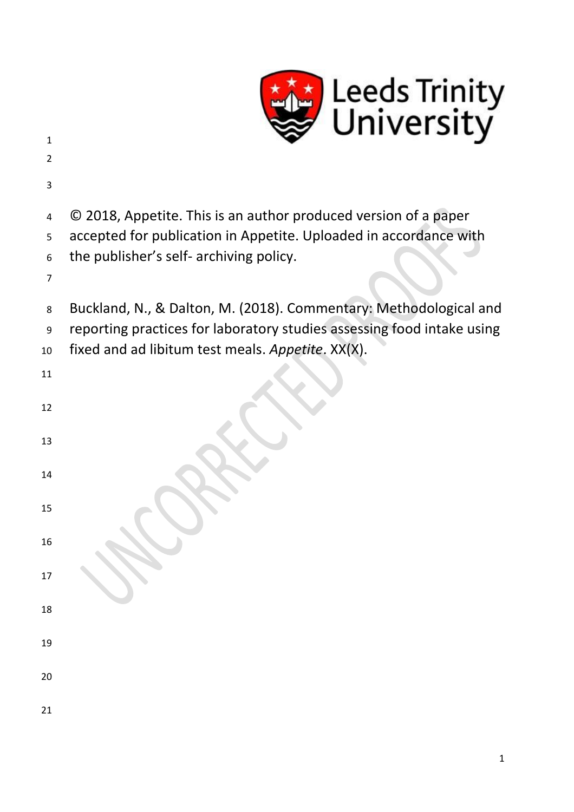

| $\mathbf{1}$   | U                                                                      |
|----------------|------------------------------------------------------------------------|
| $\overline{2}$ |                                                                        |
| 3              |                                                                        |
| 4              | © 2018, Appetite. This is an author produced version of a paper        |
| 5              | accepted for publication in Appetite. Uploaded in accordance with      |
| 6              | the publisher's self- archiving policy.                                |
| 7              |                                                                        |
| 8              | Buckland, N., & Dalton, M. (2018). Commentary: Methodological and      |
| 9              | reporting practices for laboratory studies assessing food intake using |
| 10             | fixed and ad libitum test meals. Appetite. XX(X).                      |
| 11             |                                                                        |
|                |                                                                        |
| 12             |                                                                        |
| 13             |                                                                        |
|                |                                                                        |
| 14             |                                                                        |
| 15             |                                                                        |
|                |                                                                        |
| 16             |                                                                        |
| 17             |                                                                        |
|                |                                                                        |
| 18             |                                                                        |
| 19             |                                                                        |
|                |                                                                        |
| 20             |                                                                        |
| 21             |                                                                        |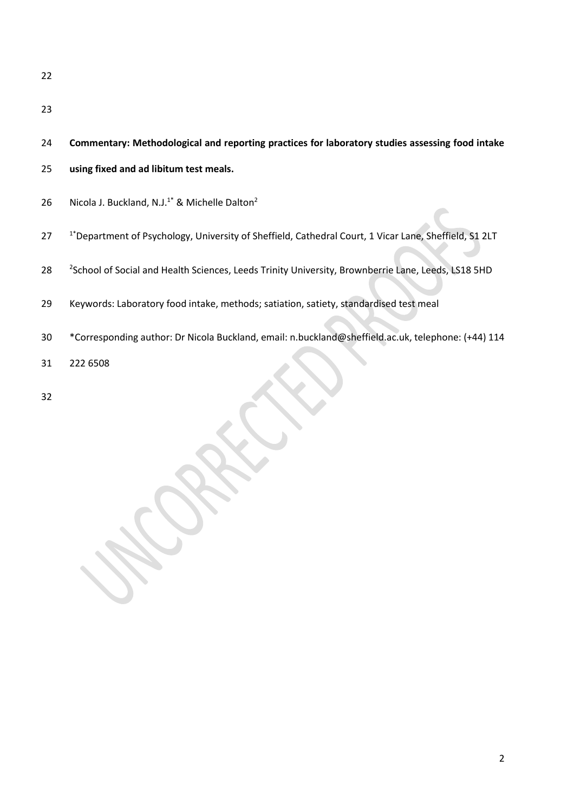|  |  | 24 Commentary: Methodological and reporting practices for laboratory studies assessing food intake |  |  |  |  |  |
|--|--|----------------------------------------------------------------------------------------------------|--|--|--|--|--|
|--|--|----------------------------------------------------------------------------------------------------|--|--|--|--|--|

- **using fixed and ad libitum test meals.**
- 26 Nicola J. Buckland, N.J.<sup>1\*</sup> & Michelle Dalton<sup>2</sup>
- 27 <sup>1\*</sup> Department of Psychology, University of Sheffield, Cathedral Court, 1 Vicar Lane, Sheffield, S1 2LT
- 28 <sup>2</sup> 2School of Social and Health Sciences, Leeds Trinity University, Brownberrie Lane, Leeds, LS18 5HD
- Keywords: Laboratory food intake, methods; satiation, satiety, standardised test meal
- \*Corresponding author: Dr Nicola Buckland, email: n.buckland@sheffield.ac.uk, telephone: (+44) 114
- 222 6508
-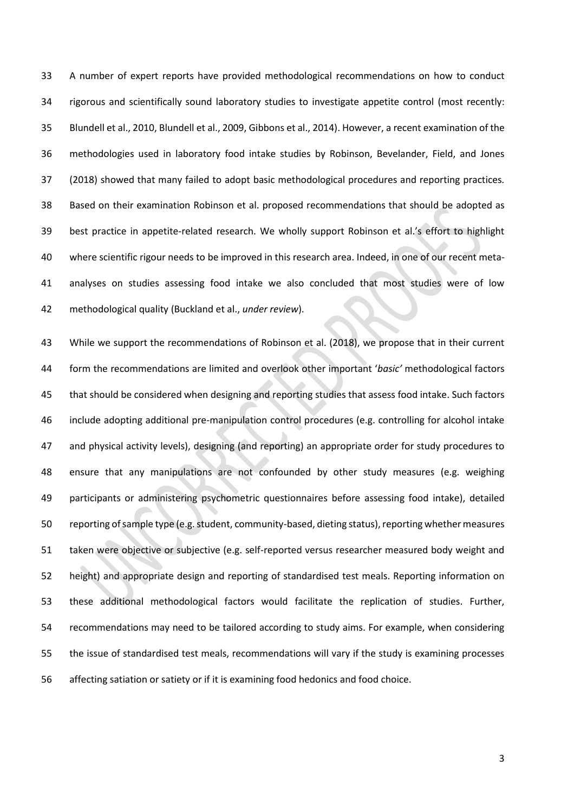A number of expert reports have provided methodological recommendations on how to conduct rigorous and scientifically sound laboratory studies to investigate appetite control (most recently: Blundell et al., 2010, Blundell et al., 2009, Gibbons et al., 2014). However, a recent examination of the methodologies used in laboratory food intake studies by Robinson, Bevelander, Field, and Jones (2018) showed that many failed to adopt basic methodological procedures and reporting practices. Based on their examination Robinson et al. proposed recommendations that should be adopted as best practice in appetite-related research. We wholly support Robinson et al.'s effort to highlight where scientific rigour needs to be improved in this research area. Indeed, in one of our recent meta- analyses on studies assessing food intake we also concluded that most studies were of low methodological quality (Buckland et al., *under review*).

 While we support the recommendations of Robinson et al. (2018), we propose that in their current form the recommendations are limited and overlook other important '*basic'* methodological factors that should be considered when designing and reporting studies that assess food intake. Such factors include adopting additional pre-manipulation control procedures (e.g. controlling for alcohol intake and physical activity levels), designing (and reporting) an appropriate order for study procedures to ensure that any manipulations are not confounded by other study measures (e.g. weighing participants or administering psychometric questionnaires before assessing food intake), detailed reporting of sample type (e.g. student, community-based, dieting status), reporting whether measures taken were objective or subjective (e.g. self-reported versus researcher measured body weight and height) and appropriate design and reporting of standardised test meals. Reporting information on these additional methodological factors would facilitate the replication of studies. Further, recommendations may need to be tailored according to study aims. For example, when considering the issue of standardised test meals, recommendations will vary if the study is examining processes affecting satiation or satiety or if it is examining food hedonics and food choice.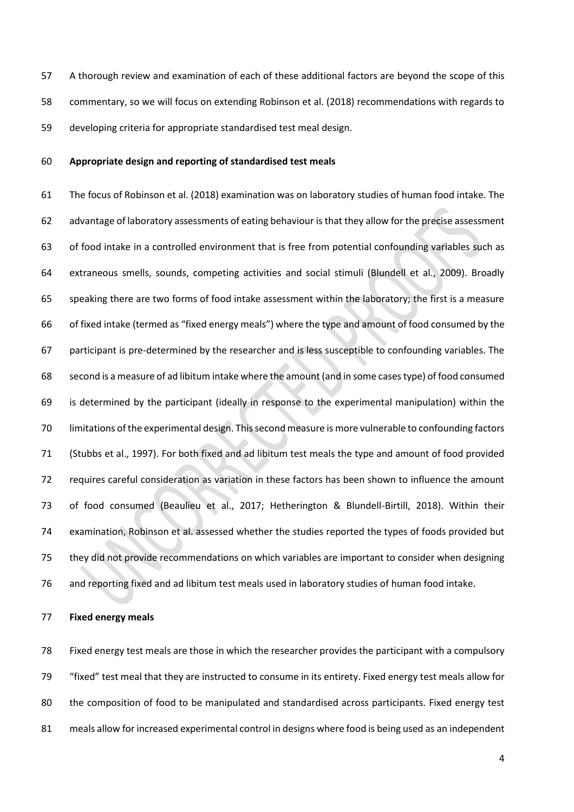A thorough review and examination of each of these additional factors are beyond the scope of this commentary, so we will focus on extending Robinson et al. (2018) recommendations with regards to developing criteria for appropriate standardised test meal design.

## **Appropriate design and reporting of standardised test meals**

 The focus of Robinson et al. (2018) examination was on laboratory studies of human food intake. The advantage of laboratory assessments of eating behaviour is that they allow for the precise assessment of food intake in a controlled environment that is free from potential confounding variables such as extraneous smells, sounds, competing activities and social stimuli (Blundell et al., 2009). Broadly speaking there are two forms of food intake assessment within the laboratory; the first is a measure of fixed intake (termed as "fixed energy meals") where the type and amount of food consumed by the participant is pre-determined by the researcher and is less susceptible to confounding variables. The second is a measure of ad libitum intake where the amount (and in some cases type) of food consumed is determined by the participant (ideally in response to the experimental manipulation) within the limitations of the experimental design. This second measure is more vulnerable to confounding factors (Stubbs et al., 1997). For both fixed and ad libitum test meals the type and amount of food provided requires careful consideration as variation in these factors has been shown to influence the amount of food consumed (Beaulieu et al., 2017; Hetherington & Blundell-Birtill, 2018). Within their examination, Robinson et al. assessed whether the studies reported the types of foods provided but they did not provide recommendations on which variables are important to consider when designing and reporting fixed and ad libitum test meals used in laboratory studies of human food intake.

**Fixed energy meals**

 Fixed energy test meals are those in which the researcher provides the participant with a compulsory "fixed" test meal that they are instructed to consume in its entirety. Fixed energy test meals allow for the composition of food to be manipulated and standardised across participants. Fixed energy test meals allow for increased experimental control in designs where food is being used as an independent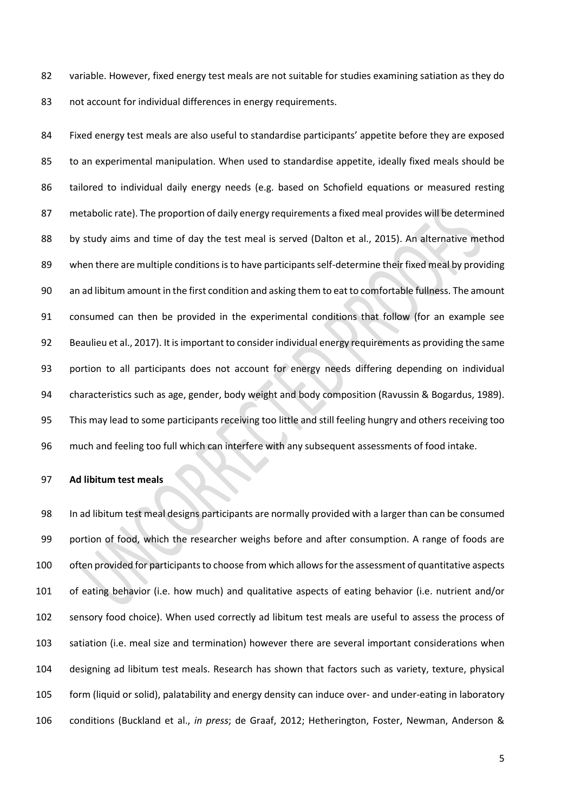82 variable. However, fixed energy test meals are not suitable for studies examining satiation as they do not account for individual differences in energy requirements.

 Fixed energy test meals are also useful to standardise participants' appetite before they are exposed to an experimental manipulation. When used to standardise appetite, ideally fixed meals should be tailored to individual daily energy needs (e.g. based on Schofield equations or measured resting metabolic rate). The proportion of daily energy requirements a fixed meal provides will be determined by study aims and time of day the test meal is served (Dalton et al., 2015). An alternative method when there are multiple conditions is to have participants self-determine their fixed meal by providing an ad libitum amount in the first condition and asking them to eat to comfortable fullness. The amount consumed can then be provided in the experimental conditions that follow (for an example see Beaulieu et al., 2017). It is important to consider individual energy requirements as providing the same portion to all participants does not account for energy needs differing depending on individual characteristics such as age, gender, body weight and body composition (Ravussin & Bogardus, 1989). This may lead to some participants receiving too little and still feeling hungry and others receiving too much and feeling too full which can interfere with any subsequent assessments of food intake.

## **Ad libitum test meals**

 In ad libitum test meal designs participants are normally provided with a larger than can be consumed portion of food, which the researcher weighs before and after consumption. A range of foods are often provided for participants to choose from which allows for the assessment of quantitative aspects of eating behavior (i.e. how much) and qualitative aspects of eating behavior (i.e. nutrient and/or sensory food choice). When used correctly ad libitum test meals are useful to assess the process of satiation (i.e. meal size and termination) however there are several important considerations when designing ad libitum test meals. Research has shown that factors such as variety, texture, physical form (liquid or solid), palatability and energy density can induce over- and under-eating in laboratory conditions (Buckland et al., *in press*; de Graaf, 2012; Hetherington, Foster, Newman, Anderson &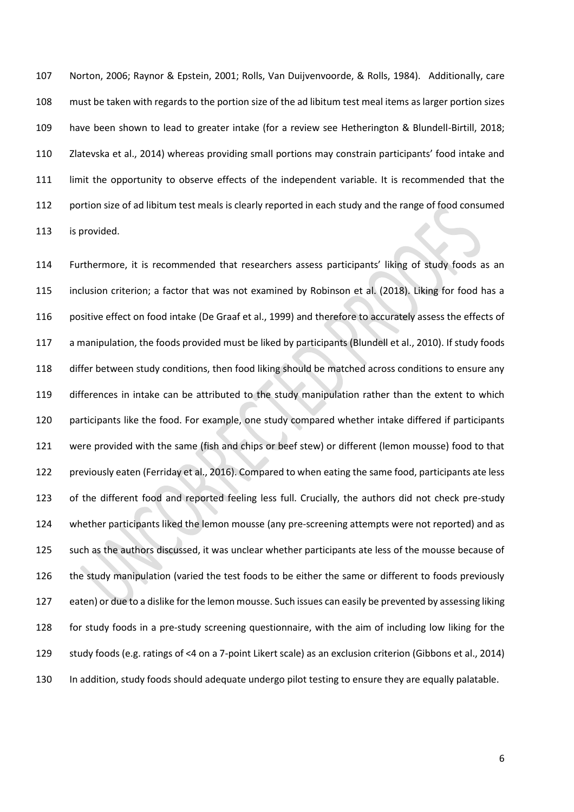Norton, 2006; Raynor & Epstein, 2001; Rolls, Van Duijvenvoorde, & Rolls, 1984). Additionally, care must be taken with regards to the portion size of the ad libitum test meal items as larger portion sizes have been shown to lead to greater intake (for a review see Hetherington & Blundell-Birtill, 2018; Zlatevska et al., 2014) whereas providing small portions may constrain participants' food intake and limit the opportunity to observe effects of the independent variable. It is recommended that the 112 portion size of ad libitum test meals is clearly reported in each study and the range of food consumed is provided.

 Furthermore, it is recommended that researchers assess participants' liking of study foods as an inclusion criterion; a factor that was not examined by Robinson et al. (2018). Liking for food has a positive effect on food intake (De Graaf et al., 1999) and therefore to accurately assess the effects of a manipulation, the foods provided must be liked by participants (Blundell et al., 2010). If study foods differ between study conditions, then food liking should be matched across conditions to ensure any differences in intake can be attributed to the study manipulation rather than the extent to which participants like the food. For example, one study compared whether intake differed if participants were provided with the same (fish and chips or beef stew) or different (lemon mousse) food to that previously eaten (Ferriday et al., 2016). Compared to when eating the same food, participants ate less of the different food and reported feeling less full. Crucially, the authors did not check pre-study whether participants liked the lemon mousse (any pre-screening attempts were not reported) and as such as the authors discussed, it was unclear whether participants ate less of the mousse because of the study manipulation (varied the test foods to be either the same or different to foods previously eaten) or due to a dislike for the lemon mousse. Such issues can easily be prevented by assessing liking for study foods in a pre-study screening questionnaire, with the aim of including low liking for the study foods (e.g. ratings of <4 on a 7-point Likert scale) as an exclusion criterion (Gibbons et al., 2014) In addition, study foods should adequate undergo pilot testing to ensure they are equally palatable.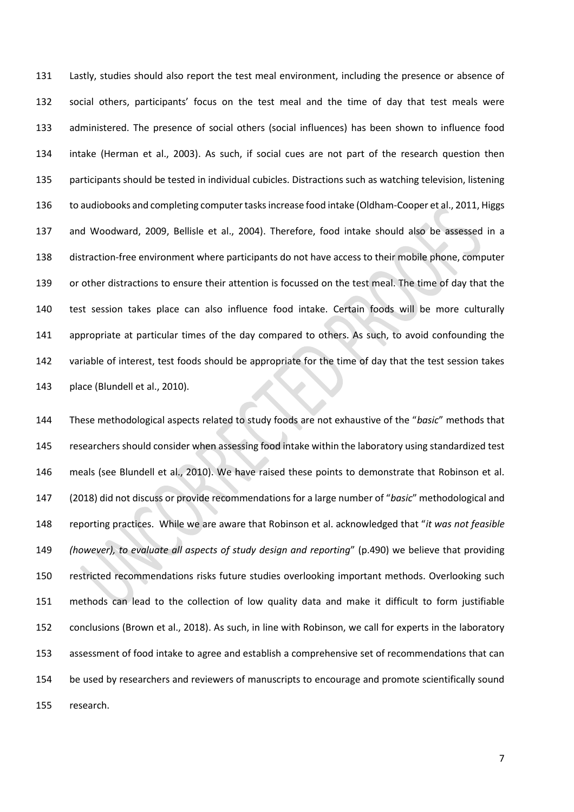Lastly, studies should also report the test meal environment, including the presence or absence of social others, participants' focus on the test meal and the time of day that test meals were administered. The presence of social others (social influences) has been shown to influence food intake (Herman et al., 2003). As such, if social cues are not part of the research question then participants should be tested in individual cubicles. Distractions such as watching television, listening to audiobooks and completing computer tasks increase food intake (Oldham-Cooper et al., 2011, Higgs and Woodward, 2009, Bellisle et al., 2004). Therefore, food intake should also be assessed in a distraction-free environment where participants do not have access to their mobile phone, computer or other distractions to ensure their attention is focussed on the test meal. The time of day that the test session takes place can also influence food intake. Certain foods will be more culturally appropriate at particular times of the day compared to others. As such, to avoid confounding the 142 variable of interest, test foods should be appropriate for the time of day that the test session takes place (Blundell et al., 2010).

 These methodological aspects related to study foods are not exhaustive of the "*basic*" methods that researchers should consider when assessing food intake within the laboratory using standardized test meals (see Blundell et al., 2010). We have raised these points to demonstrate that Robinson et al. (2018) did not discuss or provide recommendations for a large number of "*basic*" methodological and reporting practices. While we are aware that Robinson et al. acknowledged that "*it was not feasible (however), to evaluate all aspects of study design and reporting*" (p.490) we believe that providing restricted recommendations risks future studies overlooking important methods. Overlooking such methods can lead to the collection of low quality data and make it difficult to form justifiable conclusions (Brown et al., 2018). As such, in line with Robinson, we call for experts in the laboratory assessment of food intake to agree and establish a comprehensive set of recommendations that can be used by researchers and reviewers of manuscripts to encourage and promote scientifically sound research.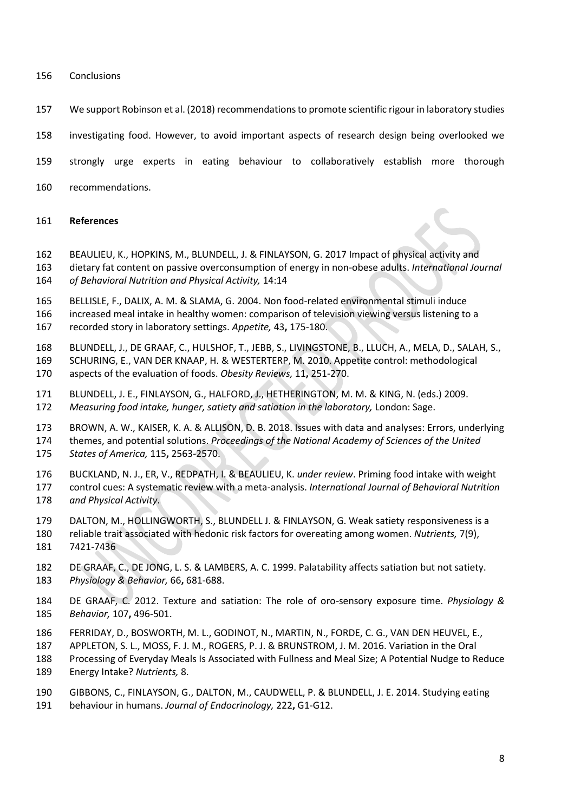## Conclusions

- We support Robinson et al. (2018) recommendations to promote scientific rigour in laboratory studies
- investigating food. However, to avoid important aspects of research design being overlooked we
- strongly urge experts in eating behaviour to collaboratively establish more thorough
- recommendations.

## **References**

- BEAULIEU, K., HOPKINS, M., BLUNDELL, J. & FINLAYSON, G. 2017 Impact of physical activity and
- dietary fat content on passive overconsumption of energy in non-obese adults. *International Journal of Behavioral Nutrition and Physical Activity,* 14:14
- BELLISLE, F., DALIX, A. M. & SLAMA, G. 2004. Non food-related environmental stimuli induce
- increased meal intake in healthy women: comparison of television viewing versus listening to a
- recorded story in laboratory settings. *Appetite,* 43**,** 175-180.
- BLUNDELL, J., DE GRAAF, C., HULSHOF, T., JEBB, S., LIVINGSTONE, B., LLUCH, A., MELA, D., SALAH, S.,
- SCHURING, E., VAN DER KNAAP, H. & WESTERTERP, M. 2010. Appetite control: methodological aspects of the evaluation of foods. *Obesity Reviews,* 11**,** 251-270.
- BLUNDELL, J. E., FINLAYSON, G., HALFORD, J., HETHERINGTON, M. M. & KING, N. (eds.) 2009.
- *Measuring food intake, hunger, satiety and satiation in the laboratory,* London: Sage.
- BROWN, A. W., KAISER, K. A. & ALLISON, D. B. 2018. Issues with data and analyses: Errors, underlying
- themes, and potential solutions. *Proceedings of the National Academy of Sciences of the United*
- *States of America,* 115**,** 2563-2570.
- BUCKLAND, N. J., ER, V., REDPATH, I. & BEAULIEU, K. *under review*. Priming food intake with weight control cues: A systematic review with a meta-analysis. *International Journal of Behavioral Nutrition and Physical Activity*.
- DALTON, M., HOLLINGWORTH, S., BLUNDELL J. & FINLAYSON, G. Weak satiety responsiveness is a
- reliable trait associated with hedonic risk factors for overeating among women. *Nutrients,* 7(9), 7421-7436
- DE GRAAF, C., DE JONG, L. S. & LAMBERS, A. C. 1999. Palatability affects satiation but not satiety. *Physiology & Behavior,* 66**,** 681-688.
- DE GRAAF, C. 2012. Texture and satiation: The role of oro-sensory exposure time. *Physiology & Behavior,* 107**,** 496-501.
- FERRIDAY, D., BOSWORTH, M. L., GODINOT, N., MARTIN, N., FORDE, C. G., VAN DEN HEUVEL, E.,
- APPLETON, S. L., MOSS, F. J. M., ROGERS, P. J. & BRUNSTROM, J. M. 2016. Variation in the Oral
- Processing of Everyday Meals Is Associated with Fullness and Meal Size; A Potential Nudge to Reduce
- Energy Intake? *Nutrients,* 8.
- GIBBONS, C., FINLAYSON, G., DALTON, M., CAUDWELL, P. & BLUNDELL, J. E. 2014. Studying eating
- behaviour in humans. *Journal of Endocrinology,* 222**,** G1-G12.